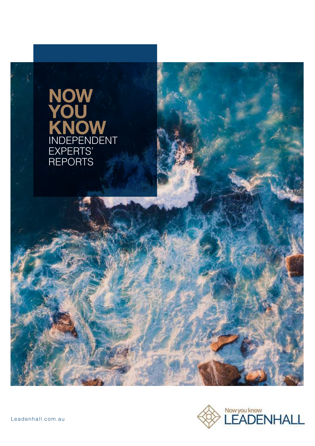

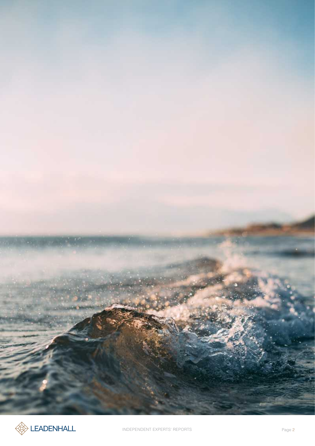

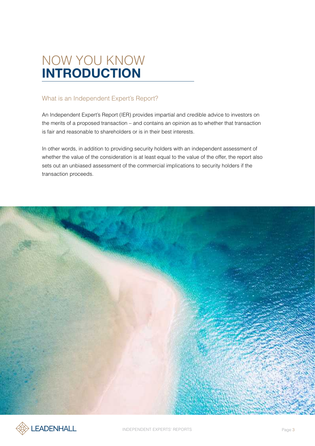# NOW YOU KNOW **INTRODUCTION**

## What is an Independent Expert's Report?

An Independent Expert's Report (IER) provides impartial and credible advice to investors on the merits of a proposed transaction – and contains an opinion as to whether that transaction is fair and reasonable to shareholders or is in their best interests.

In other words, in addition to providing security holders with an independent assessment of whether the value of the consideration is at least equal to the value of the offer, the report also sets out an unbiased assessment of the commercial implications to security holders if the transaction proceeds.



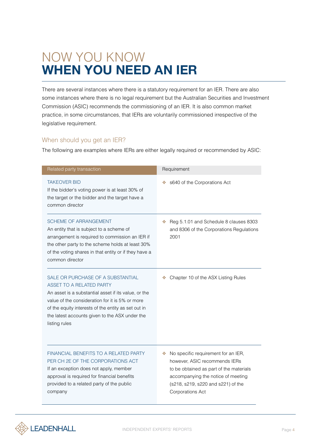# NOW YOU KNOW **WHEN YOU NEED AN IER**

There are several instances where there is a statutory requirement for an IER. There are also some instances where there is no legal requirement but the Australian Securities and Investment Commission (ASIC) recommends the commissioning of an IER. It is also common market practice, in some circumstances, that IERs are voluntarily commissioned irrespective of the legislative requirement.

### When should you get an IER?

The following are examples where IERs are either legally required or recommended by ASIC:

| Related party transaction                                                                                                                                                                                                                                                                          | Requirement                                                                                                                                                                                                     |
|----------------------------------------------------------------------------------------------------------------------------------------------------------------------------------------------------------------------------------------------------------------------------------------------------|-----------------------------------------------------------------------------------------------------------------------------------------------------------------------------------------------------------------|
| <b>TAKEOVER BID</b><br>If the bidder's voting power is at least 30% of<br>the target or the bidder and the target have a<br>common director                                                                                                                                                        | s640 of the Corporations Act<br>❖                                                                                                                                                                               |
| <b>SCHEME OF ARRANGEMENT</b><br>An entity that is subject to a scheme of<br>arrangement is required to commission an IER if<br>the other party to the scheme holds at least 30%<br>of the voting shares in that entity or if they have a<br>common director                                        | Reg 5.1.01 and Schedule 8 clauses 8303<br>❖<br>and 8306 of the Corporations Regulations<br>2001                                                                                                                 |
| SALE OR PURCHASE OF A SUBSTANTIAL<br>ASSET TO A RELATED PARTY<br>An asset is a substantial asset if its value, or the<br>value of the consideration for it is 5% or more<br>of the equity interests of the entity as set out in<br>the latest accounts given to the ASX under the<br>listing rules | Chapter 10 of the ASX Listing Rules                                                                                                                                                                             |
| FINANCIAL BENEFITS TO A RELATED PARTY<br>PER CH 2E OF THE CORPORATIONS ACT<br>If an exception does not apply, member<br>approval is required for financial benefits<br>provided to a related party of the public<br>company                                                                        | No specific requirement for an IER,<br>however, ASIC recommends IERs<br>to be obtained as part of the materials<br>accompanying the notice of meeting<br>(s218, s219, s220 and s221) of the<br>Corporations Act |

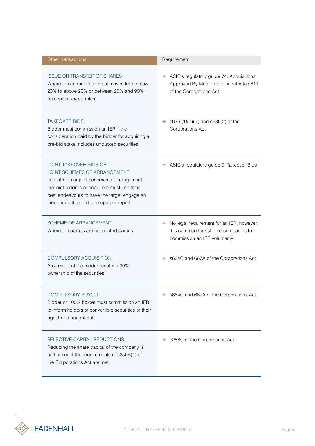| Other transactions                                                                                                                                                                                                                                                | Requirement                                                                                                         |
|-------------------------------------------------------------------------------------------------------------------------------------------------------------------------------------------------------------------------------------------------------------------|---------------------------------------------------------------------------------------------------------------------|
| <b>ISSUE OR TRANSFER OF SHARES</b><br>Where the acquirer's interest moves from below<br>20% to above 20% or between 20% and 90%<br>(exception creep rules)                                                                                                        | ASIC's regulatory guide 74: Acquisitions<br>❖<br>Approved By Members, also refer to s611<br>of the Corporations Act |
| <b>TAKEOVER BIDS</b><br>Bidder must commission an IER if the<br>consideration paid by the bidder for acquiring a<br>pre-bid stake includes unquoted securities                                                                                                    | s636 (1)(h)(iii) and s636(2) of the<br>Corporations Act                                                             |
| <b>JOINT TAKEOVER BIDS OR</b><br><b>JOINT SCHEMES OF ARRANGEMENT</b><br>In joint bids or joint schemes of arrangement,<br>the joint bidders or acquirers must use their<br>best endeavours to have the target engage an<br>independent expert to prepare a report | ASIC's regulatory guide 9: Takeover Bids                                                                            |
| <b>SCHEME OF ARRANGEMENT</b><br>Where the parties are not related parties                                                                                                                                                                                         | No legal requirement for an IER, however,<br>it is common for scheme companies to<br>commission an IER voluntarily  |
| <b>COMPULSORY ACQUISITION</b><br>As a result of the bidder reaching 90%<br>ownership of the securities                                                                                                                                                            | s664C and 667A of the Corporations Act                                                                              |
| <b>COMPULSORY BUYOUT</b><br>Bidder or 100% holder must commission an IER<br>to inform holders of convertible securities of their<br>right to be bought out                                                                                                        | s664C and 667A of the Corporations Act                                                                              |
| SELECTIVE CAPITAL REDUCTIONS<br>Reducing the share capital of the company is<br>authorised if the requirements of s256B(1) of<br>the Corporations Act are met.                                                                                                    | s256C of the Corporations Act                                                                                       |

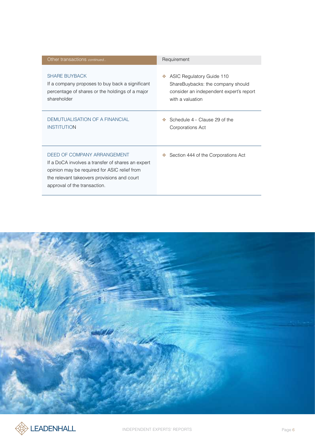| Other transactions <i>continued</i>                                                                                                                                                                             | Requirement                                                                                                                        |
|-----------------------------------------------------------------------------------------------------------------------------------------------------------------------------------------------------------------|------------------------------------------------------------------------------------------------------------------------------------|
| <b>SHARE BUYBACK</b><br>If a company proposes to buy back a significant<br>percentage of shares or the holdings of a major<br>shareholder                                                                       | ASIC Regulatory Guide 110<br>÷<br>ShareBuybacks: the company should<br>consider an independent expert's report<br>with a valuation |
| DEMUTUALISATION OF A FINANCIAL<br><b>INSTITUTION</b>                                                                                                                                                            | Schedule 4 – Clause 29 of the<br>Corporations Act                                                                                  |
| DEED OF COMPANY ARRANGEMENT<br>If a DoCA involves a transfer of shares an expert<br>opinion may be required for ASIC relief from<br>the relevant takeovers provisions and court<br>approval of the transaction. | Section 444 of the Corporations Act                                                                                                |



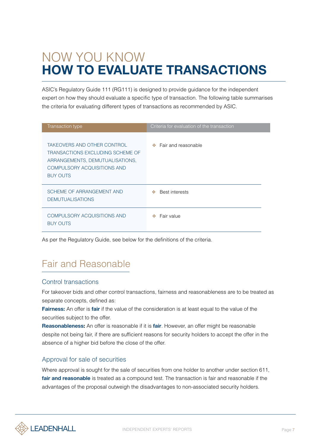# NOW YOU KNOW **HOW TO EVALUATE TRANSACTIONS**

ASIC's Regulatory Guide 111 (RG111) is designed to provide guidance for the independent expert on how they should evaluate a specific type of transaction. The following table summarises the criteria for evaluating different types of transactions as recommended by ASIC.

| Transaction type                                                                                                                                            | Criteria for evaluation of the transaction |
|-------------------------------------------------------------------------------------------------------------------------------------------------------------|--------------------------------------------|
| <b>TAKEOVERS AND OTHER CONTROL</b><br>TRANSACTIONS EXCLUDING SCHEME OF<br>ARRANGEMENTS, DEMUTUALISATIONS,<br>COMPULSORY ACQUISITIONS AND<br><b>BUY OUTS</b> | ❖ Fair and reasonable                      |
| SCHEME OF ARRANGEMENT AND<br><b>DEMUTUALISATIONS</b>                                                                                                        | <b>Best interests</b><br><b>AND</b>        |
| COMPULSORY ACQUISITIONS AND<br><b>BUY OUTS</b>                                                                                                              | Fair value                                 |

As per the Regulatory Guide, see below for the definitions of the criteria.

# Fair and Reasonable

### Control transactions

For takeover bids and other control transactions, fairness and reasonableness are to be treated as separate concepts, defined as:

**Fairness:** An offer is **fair** if the value of the consideration is at least equal to the value of the securities subject to the offer.

**Reasonableness:** An offer is reasonable if it is **fair**. However, an offer might be reasonable despite not being fair, if there are sufficient reasons for security holders to accept the offer in the absence of a higher bid before the close of the offer.

## Approval for sale of securities

Where approval is sought for the sale of securities from one holder to another under section 611, fair and reasonable is treated as a compound test. The transaction is fair and reasonable if the advantages of the proposal outweigh the disadvantages to non-associated security holders.

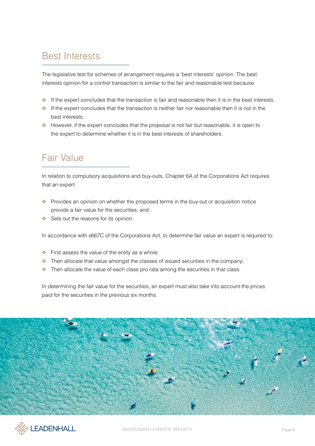# Best Interests

The legislative test for schemes of arrangement requires a 'best interests' opinion. The best interests opinion for a control transaction is similar to the fair and reasonable test because:

- ❖ If the expert concludes that the transaction is fair and reasonable then it is in the best interests.
- ❖ If the expert concludes that the transaction is neither fair nor reasonable then it is not in the best interests.
- ❖ However, if the expert concludes that the proposal is not fair but reasonable, it is open to the expert to determine whether it is in the best interests of shareholders.

# Fair Value

In relation to compulsory acquisitions and buy-outs, Chapter 6A of the Corporations Act requires that an expert:

- ❖ Provides an opinion on whether the proposed terms in the buy-out or acquisition notice provide a fair value for the securities; and
- ❖ Sets out the reasons for its opinion.

In accordance with s667C of the Corporations Act, to determine fair value an expert is required to:

- ❖ First assess the value of the entity as a whole;
- ❖ Then allocate that value amongst the classes of issued securities in the company;
- ❖ Then allocate the value of each class pro rata among the securities in that class.

In determining the fair value for the securities, an expert must also take into account the prices paid for the securities in the previous six months.



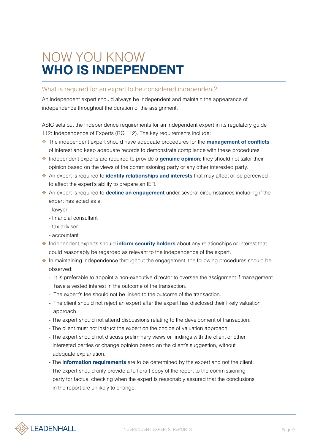# NOW YOU KNOW **WHO IS INDEPENDENT**

#### What is required for an expert to be considered independent?

An independent expert should always be independent and maintain the appearance of independence throughout the duration of the assignment.

ASIC sets out the independence requirements for an independent expert in its regulatory guide 112: Independence of Experts (RG 112). The key requirements include:

- ❖ The independent expert should have adequate procedures for the **management of conflicts** of interest and keep adequate records to demonstrate compliance with these procedures.
- ❖ Independent experts are required to provide a **genuine opinion**; they should not tailor their opinion based on the views of the commissioning party or any other interested party.
- ❖ An expert is required to **identify relationships and interests** that may affect or be perceived to affect the expert's ability to prepare an IER.
- ❖ An expert is required to **decline an engagement** under several circumstances including if the expert has acted as a:
	- lawyer
	- financial consultant
	- tax adviser
	- accountant
- ❖ Independent experts should **inform security holders** about any relationships or interest that could reasonably be regarded as relevant to the independence of the expert.
- ❖ In maintaining independence throughout the engagement, the following procedures should be observed:
	- It is preferable to appoint a non-executive director to oversee the assignment if management have a vested interest in the outcome of the transaction.
	- The expert's fee should not be linked to the outcome of the transaction.
	- The client should not reject an expert after the expert has disclosed their likely valuation approach.
	- The expert should not attend discussions relating to the development of transaction.
	- The client must not instruct the expert on the choice of valuation approach.
	- The expert should not discuss preliminary views or findings with the client or other interested parties or change opinion based on the client's suggestion, without adequate explanation.
	- The **information requirements** are to be determined by the expert and not the client.
	- The expert should only provide a full draft copy of the report to the commissioning party for factual checking when the expert is reasonably assured that the conclusions in the report are unlikely to change.

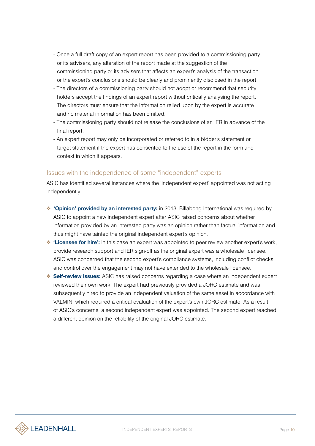- Once a full draft copy of an expert report has been provided to a commissioning party or its advisers, any alteration of the report made at the suggestion of the commissioning party or its advisers that affects an expert's analysis of the transaction or the expert's conclusions should be clearly and prominently disclosed in the report.
- The directors of a commissioning party should not adopt or recommend that security holders accept the findings of an expert report without critically analysing the report. The directors must ensure that the information relied upon by the expert is accurate and no material information has been omitted.
- The commissioning party should not release the conclusions of an IER in advance of the final report.
- An expert report may only be incorporated or referred to in a bidder's statement or target statement if the expert has consented to the use of the report in the form and context in which it appears.

### Issues with the independence of some "independent" experts

ASIC has identified several instances where the 'independent expert' appointed was not acting independently:

- ❖ **'Opinion' provided by an interested party:** in 2013, Billabong International was required by ASIC to appoint a new independent expert after ASIC raised concerns about whether information provided by an interested party was an opinion rather than factual information and thus might have tainted the original independent expert's opinion.
- ❖ **'Licensee for hire':** in this case an expert was appointed to peer review another expert's work, provide research support and IER sign-off as the original expert was a wholesale licensee. ASIC was concerned that the second expert's compliance systems, including conflict checks and control over the engagement may not have extended to the wholesale licensee.
- ❖ **Self-review issues:** ASIC has raised concerns regarding a case where an independent expert reviewed their own work. The expert had previously provided a JORC estimate and was subsequently hired to provide an independent valuation of the same asset in accordance with VALMIN, which required a critical evaluation of the expert's own JORC estimate. As a result of ASIC's concerns, a second independent expert was appointed. The second expert reached a different opinion on the reliability of the original JORC estimate.

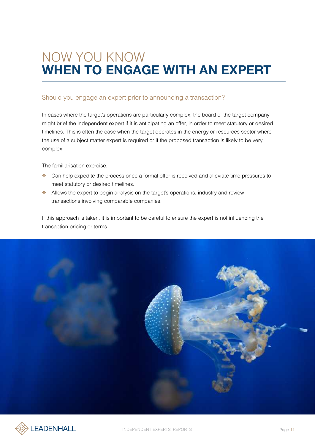# NOW YOU KNOW **WHEN TO ENGAGE WITH AN EXPERT**

### Should you engage an expert prior to announcing a transaction?

In cases where the target's operations are particularly complex, the board of the target company might brief the independent expert if it is anticipating an offer, in order to meet statutory or desired timelines. This is often the case when the target operates in the energy or resources sector where the use of a subject matter expert is required or if the proposed transaction is likely to be very complex.

The familiarisation exercise:

- ❖ Can help expedite the process once a formal offer is received and alleviate time pressures to meet statutory or desired timelines.
- ❖ Allows the expert to begin analysis on the target's operations, industry and review transactions involving comparable companies.

If this approach is taken, it is important to be careful to ensure the expert is not influencing the transaction pricing or terms.



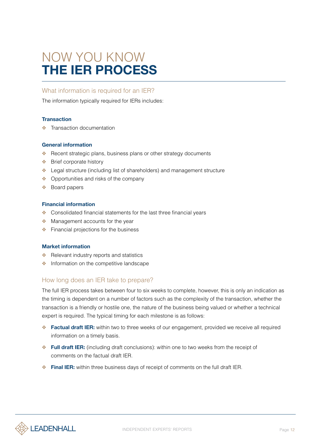# NOW YOU KNOW **THE IER PROCESS**

### What information is required for an IER?

The information typically required for IERs includes:

#### **Transaction**

❖ Transaction documentation

#### **General information**

- ❖ Recent strategic plans, business plans or other strategy documents
- ❖ Brief corporate history
- ❖ Legal structure (including list of shareholders) and management structure
- ❖ Opportunities and risks of the company
- ❖ Board papers

#### **Financial information**

- ❖ Consolidated financial statements for the last three financial years
- ❖ Management accounts for the year
- ❖ Financial projections for the business

#### **Market information**

- ❖ Relevant industry reports and statistics
- ❖ Information on the competitive landscape

### How long does an IER take to prepare?

The full IER process takes between four to six weeks to complete, however, this is only an indication as the timing is dependent on a number of factors such as the complexity of the transaction, whether the transaction is a friendly or hostile one, the nature of the business being valued or whether a technical expert is required. The typical timing for each milestone is as follows:

- ❖ **Factual draft IER:** within two to three weeks of our engagement, provided we receive all required information on a timely basis.
- ❖ **Full draft IER:** (including draft conclusions): within one to two weeks from the receipt of comments on the factual draft IER.
- ❖ **Final IER:** within three business days of receipt of comments on the full draft IER.

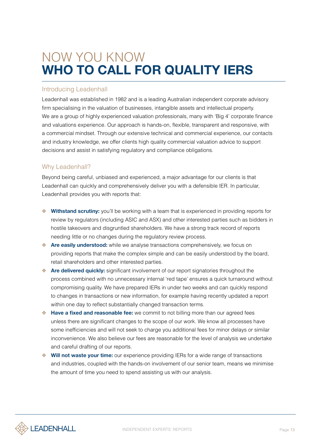# NOW YOU KNOW **WHO TO CALL FOR QUALITY IERS**

### Introducing Leadenhall

Leadenhall was established in 1982 and is a leading Australian independent corporate advisory firm specialising in the valuation of businesses, intangible assets and intellectual property. We are a group of highly experienced valuation professionals, many with 'Big 4' corporate finance and valuations experience. Our approach is hands-on, flexible, transparent and responsive, with a commercial mindset. Through our extensive technical and commercial experience, our contacts and industry knowledge, we offer clients high quality commercial valuation advice to support decisions and assist in satisfying regulatory and compliance obligations.

### Why Leadenhall?

Beyond being careful, unbiased and experienced, a major advantage for our clients is that Leadenhall can quickly and comprehensively deliver you with a defensible IER. In particular, Leadenhall provides you with reports that:

- ❖ **Withstand scrutiny:** you'll be working with a team that is experienced in providing reports for review by regulators (including ASIC and ASX) and other interested parties such as bidders in hostile takeovers and disgruntled shareholders. We have a strong track record of reports needing little or no changes during the regulatory review process.
- ❖ **Are easily understood:** while we analyse transactions comprehensively, we focus on providing reports that make the complex simple and can be easily understood by the board, retail shareholders and other interested parties.
- ❖ **Are delivered quickly:** significant involvement of our report signatories throughout the process combined with no unnecessary internal 'red tape' ensures a quick turnaround without compromising quality. We have prepared IERs in under two weeks and can quickly respond to changes in transactions or new information, for example having recently updated a report within one day to reflect substantially changed transaction terms.
- ❖ **Have a fixed and reasonable fee:** we commit to not billing more than our agreed fees unless there are significant changes to the scope of our work. We know all processes have some inefficiencies and will not seek to charge you additional fees for minor delays or similar inconvenience. We also believe our fees are reasonable for the level of analysis we undertake and careful drafting of our reports.
- ❖ **Will not waste your time:** our experience providing IERs for a wide range of transactions and industries, coupled with the hands-on involvement of our senior team, means we minimise the amount of time you need to spend assisting us with our analysis.

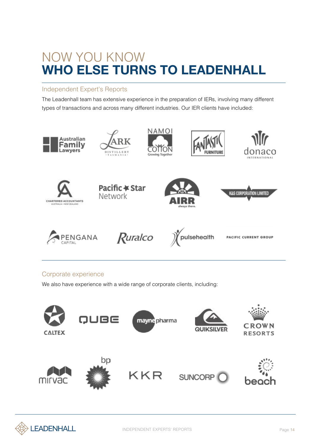# NOW YOU KNOW **WHO ELSE TURNS TO LEADENHALL**

### Independent Expert's Reports

The Leadenhall team has extensive experience in the preparation of IERs, involving many different types of transactions and across many different industries. Our IER clients have included:



## Corporate experience

We also have experience with a wide range of corporate clients, including:



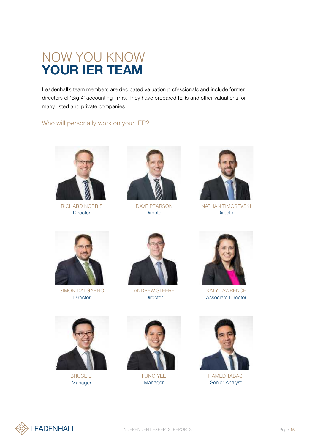# NOW YOU KNOW **YOUR IER TEAM**

Leadenhall's team members are dedicated valuation professionals and include former directors of 'Big 4' accounting firms. They have prepared IERs and other valuations for many listed and private companies.

## Who will personally work on your IER?



RICHARD NORRIS **Director** 



DAVE PEARSON **Director** 



NATHAN TIMOSEVSKI **Director** 



SIMON DALGARNO **Director** 



ANDREW STEERE **Director** 



KATY LAWRENCE Associate Director



BRUCE LI Manager



FUNG YEE Manager



HAMED TABASI Senior Analyst